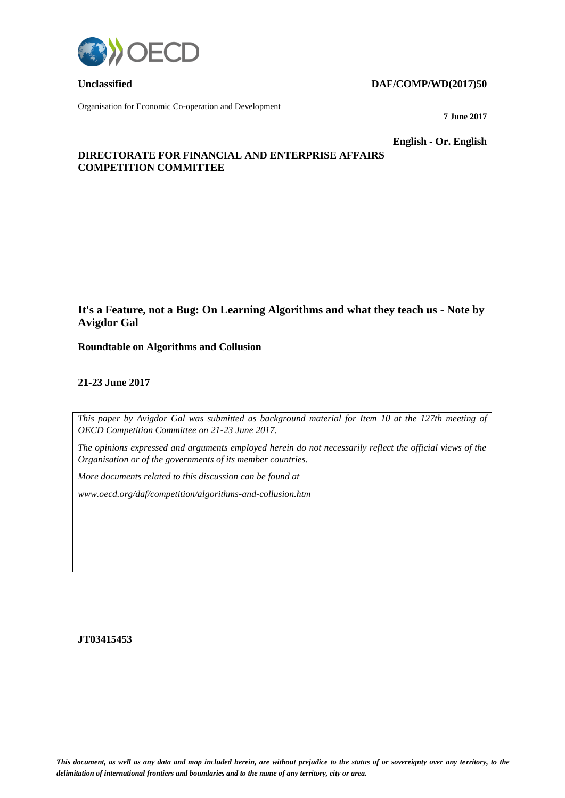

Organisation for Economic Co-operation and Development

#### **Unclassified DAF/COMP/WD(2017)50**

**7 June 2017**

**English - Or. English**

#### **DIRECTORATE FOR FINANCIAL AND ENTERPRISE AFFAIRS COMPETITION COMMITTEE**

# **It's a Feature, not a Bug: On Learning Algorithms and what they teach us - Note by Avigdor Gal**

**Roundtable on Algorithms and Collusion**

#### **21-23 June 2017**

*This paper by Avigdor Gal was submitted as background material for Item 10 at the 127th meeting of OECD Competition Committee on 21-23 June 2017.* 

*The opinions expressed and arguments employed herein do not necessarily reflect the official views of the Organisation or of the governments of its member countries.* 

*More documents related to this discussion can be found at* 

*www.oecd.org/daf/competition/algorithms-and-collusion.htm*

**JT03415453**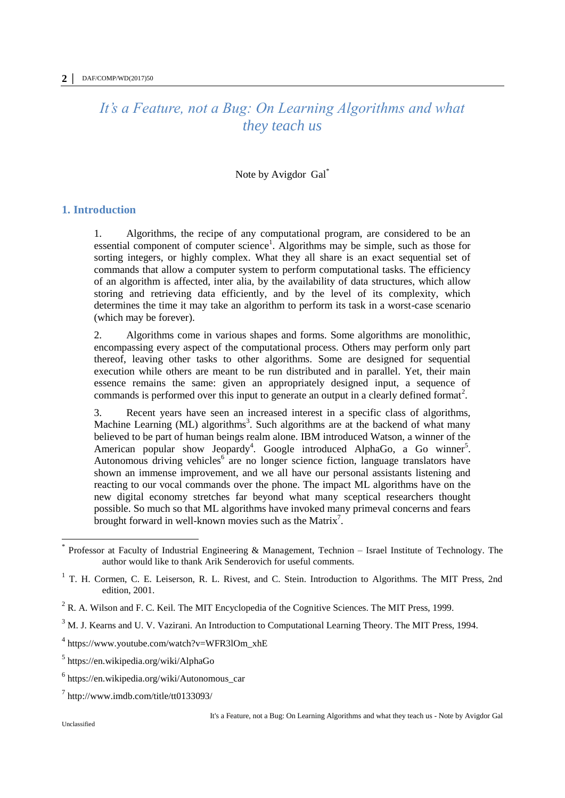# *It's a Feature, not a Bug: On Learning Algorithms and what they teach us*

#### Note by Avigdor Gal\*

#### **1. Introduction**

1. Algorithms, the recipe of any computational program, are considered to be an essential component of computer science<sup>1</sup>. Algorithms may be simple, such as those for sorting integers, or highly complex. What they all share is an exact sequential set of commands that allow a computer system to perform computational tasks. The efficiency of an algorithm is affected, inter alia, by the availability of data structures, which allow storing and retrieving data efficiently, and by the level of its complexity, which determines the time it may take an algorithm to perform its task in a worst-case scenario (which may be forever).

2. Algorithms come in various shapes and forms. Some algorithms are monolithic, encompassing every aspect of the computational process. Others may perform only part thereof, leaving other tasks to other algorithms. Some are designed for sequential execution while others are meant to be run distributed and in parallel. Yet, their main essence remains the same: given an appropriately designed input, a sequence of commands is performed over this input to generate an output in a clearly defined format<sup>2</sup>.

3. Recent years have seen an increased interest in a specific class of algorithms, Machine Learning (ML) algorithms<sup>3</sup>. Such algorithms are at the backend of what many believed to be part of human beings realm alone. IBM introduced Watson, a winner of the American popular show Jeopardy<sup>4</sup>. Google introduced AlphaGo, a Go winner<sup>5</sup>. Autonomous driving vehicles<sup>6</sup> are no longer science fiction, language translators have shown an immense improvement, and we all have our personal assistants listening and reacting to our vocal commands over the phone. The impact ML algorithms have on the new digital economy stretches far beyond what many sceptical researchers thought possible. So much so that ML algorithms have invoked many primeval concerns and fears brought forward in well-known movies such as the Matrix<sup>7</sup>.

 $\overline{a}$ 

<sup>\*</sup> Professor at Faculty of Industrial Engineering & Management, Technion – Israel Institute of Technology. The author would like to thank Arik Senderovich for useful comments.

<sup>&</sup>lt;sup>1</sup> T. H. Cormen, C. E. Leiserson, R. L. Rivest, and C. Stein. Introduction to Algorithms. The MIT Press, 2nd edition, 2001.

 $2^2$  R. A. Wilson and F. C. Keil. The MIT Encyclopedia of the Cognitive Sciences. The MIT Press, 1999.

<sup>&</sup>lt;sup>3</sup> M. J. Kearns and U. V. Vazirani. An Introduction to Computational Learning Theory. The MIT Press, 1994.

<sup>4</sup> https://www.youtube.com/watch?v=WFR3lOm\_xhE

<sup>5</sup> https://en.wikipedia.org/wiki/AlphaGo

<sup>6</sup> https://en.wikipedia.org/wiki/Autonomous\_car

 $^7$  http://www.imdb.com/title/tt0133093/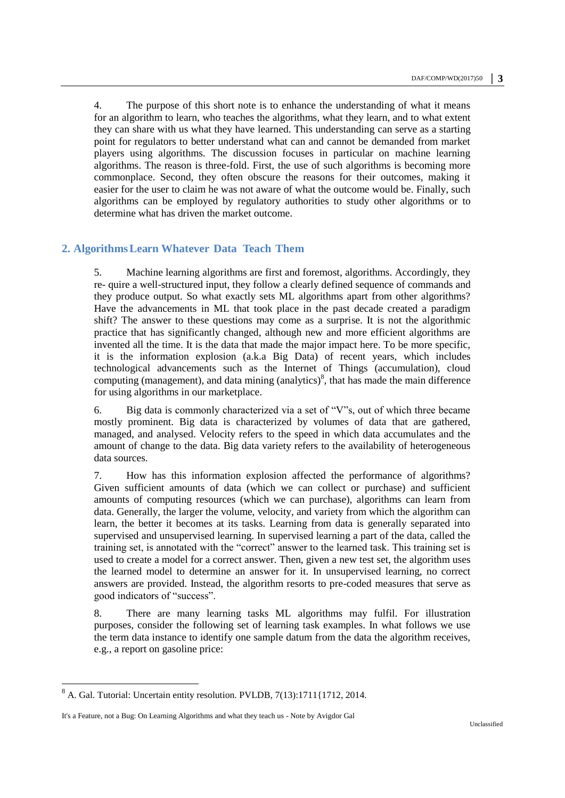4. The purpose of this short note is to enhance the understanding of what it means for an algorithm to learn, who teaches the algorithms, what they learn, and to what extent they can share with us what they have learned. This understanding can serve as a starting point for regulators to better understand what can and cannot be demanded from market players using algorithms. The discussion focuses in particular on machine learning algorithms. The reason is three-fold. First, the use of such algorithms is becoming more commonplace. Second, they often obscure the reasons for their outcomes, making it easier for the user to claim he was not aware of what the outcome would be. Finally, such algorithms can be employed by regulatory authorities to study other algorithms or to determine what has driven the market outcome.

## **2. AlgorithmsLearn Whatever Data Teach Them**

5. Machine learning algorithms are first and foremost, algorithms. Accordingly, they re- quire a well-structured input, they follow a clearly defined sequence of commands and they produce output. So what exactly sets ML algorithms apart from other algorithms? Have the advancements in ML that took place in the past decade created a paradigm shift? The answer to these questions may come as a surprise. It is not the algorithmic practice that has significantly changed, although new and more efficient algorithms are invented all the time. It is the data that made the major impact here. To be more specific, it is the information explosion (a.k.a Big Data) of recent years, which includes technological advancements such as the Internet of Things (accumulation), cloud computing (management), and data mining (analytics) $\delta$ , that has made the main difference for using algorithms in our marketplace.

6. Big data is commonly characterized via a set of "V"s, out of which three became mostly prominent. Big data is characterized by volumes of data that are gathered, managed, and analysed. Velocity refers to the speed in which data accumulates and the amount of change to the data. Big data variety refers to the availability of heterogeneous data sources.

7. How has this information explosion affected the performance of algorithms? Given sufficient amounts of data (which we can collect or purchase) and sufficient amounts of computing resources (which we can purchase), algorithms can learn from data. Generally, the larger the volume, velocity, and variety from which the algorithm can learn, the better it becomes at its tasks. Learning from data is generally separated into supervised and unsupervised learning. In supervised learning a part of the data, called the training set, is annotated with the "correct" answer to the learned task. This training set is used to create a model for a correct answer. Then, given a new test set, the algorithm uses the learned model to determine an answer for it. In unsupervised learning, no correct answers are provided. Instead, the algorithm resorts to pre-coded measures that serve as good indicators of "success".

8. There are many learning tasks ML algorithms may fulfil. For illustration purposes, consider the following set of learning task examples. In what follows we use the term data instance to identify one sample datum from the data the algorithm receives, e.g., a report on gasoline price:

 $\overline{a}$ 

<sup>&</sup>lt;sup>8</sup> A. Gal. Tutorial: Uncertain entity resolution. PVLDB, 7(13):1711{1712, 2014.

It's a Feature, not a Bug: On Learning Algorithms and what they teach us - Note by Avigdor Gal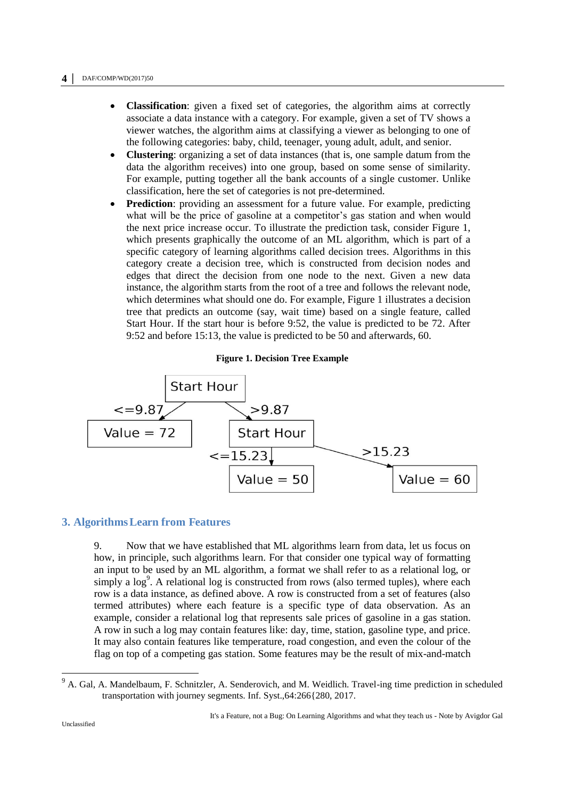- **Classification**: given a fixed set of categories, the algorithm aims at correctly associate a data instance with a category. For example, given a set of TV shows a viewer watches, the algorithm aims at classifying a viewer as belonging to one of the following categories: baby, child, teenager, young adult, adult, and senior.
- **Clustering**: organizing a set of data instances (that is, one sample datum from the data the algorithm receives) into one group, based on some sense of similarity. For example, putting together all the bank accounts of a single customer. Unlike classification, here the set of categories is not pre-determined.
- **Prediction**: providing an assessment for a future value. For example, predicting what will be the price of gasoline at a competitor's gas station and when would the next price increase occur. To illustrate the prediction task, consider Figure 1, which presents graphically the outcome of an ML algorithm, which is part of a specific category of learning algorithms called decision trees. Algorithms in this category create a decision tree, which is constructed from decision nodes and edges that direct the decision from one node to the next. Given a new data instance, the algorithm starts from the root of a tree and follows the relevant node, which determines what should one do. For example, Figure 1 illustrates a decision tree that predicts an outcome (say, wait time) based on a single feature, called Start Hour. If the start hour is before 9:52, the value is predicted to be 72. After 9:52 and before 15:13, the value is predicted to be 50 and afterwards, 60.

#### **Figure 1. Decision Tree Example**



#### **3. AlgorithmsLearn from Features**

9. Now that we have established that ML algorithms learn from data, let us focus on how, in principle, such algorithms learn. For that consider one typical way of formatting an input to be used by an ML algorithm, a format we shall refer to as a relational log, or simply a  $log<sup>9</sup>$ . A relational log is constructed from rows (also termed tuples), where each row is a data instance, as defined above. A row is constructed from a set of features (also termed attributes) where each feature is a specific type of data observation. As an example, consider a relational log that represents sale prices of gasoline in a gas station. A row in such a log may contain features like: day, time, station, gasoline type, and price. It may also contain features like temperature, road congestion, and even the colour of the flag on top of a competing gas station. Some features may be the result of mix-and-match

<sup>&</sup>lt;sup>9</sup> A. Gal, A. Mandelbaum, F. Schnitzler, A. Senderovich, and M. Weidlich. Travel-ing time prediction in scheduled transportation with journey segments. Inf. Syst.,64:266{280, 2017.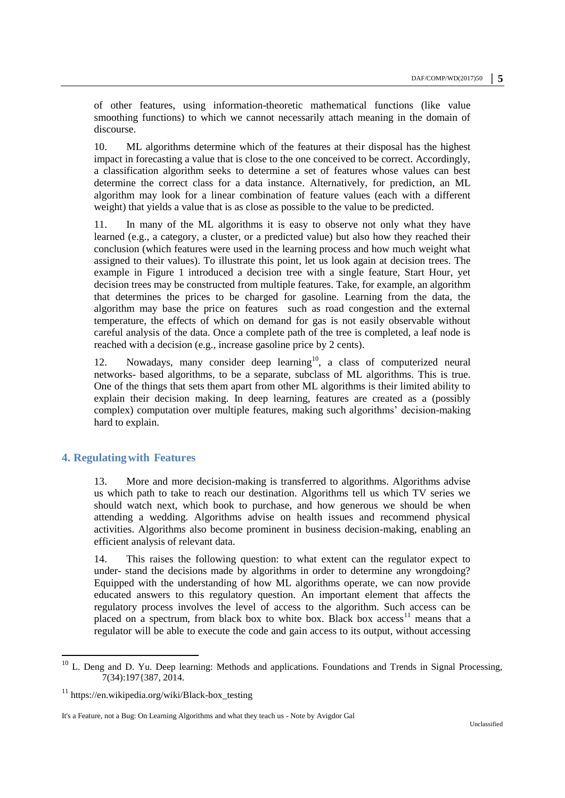of other features, using information-theoretic mathematical functions (like value smoothing functions) to which we cannot necessarily attach meaning in the domain of discourse.

10. ML algorithms determine which of the features at their disposal has the highest impact in forecasting a value that is close to the one conceived to be correct. Accordingly, a classification algorithm seeks to determine a set of features whose values can best determine the correct class for a data instance. Alternatively, for prediction, an ML algorithm may look for a linear combination of feature values (each with a different weight) that yields a value that is as close as possible to the value to be predicted.

11. In many of the ML algorithms it is easy to observe not only what they have learned (e.g., a category, a cluster, or a predicted value) but also how they reached their conclusion (which features were used in the learning process and how much weight what assigned to their values). To illustrate this point, let us look again at decision trees. The example in Figure 1 introduced a decision tree with a single feature, Start Hour, yet decision trees may be constructed from multiple features. Take, for example, an algorithm that determines the prices to be charged for gasoline. Learning from the data, the algorithm may base the price on features such as road congestion and the external temperature, the effects of which on demand for gas is not easily observable without careful analysis of the data. Once a complete path of the tree is completed, a leaf node is reached with a decision (e.g., increase gasoline price by 2 cents).

12. Nowadays, many consider deep learning<sup>10</sup>, a class of computerized neural networks- based algorithms, to be a separate, subclass of ML algorithms. This is true. One of the things that sets them apart from other ML algorithms is their limited ability to explain their decision making. In deep learning, features are created as a (possibly complex) computation over multiple features, making such algorithms' decision-making hard to explain.

## **4. Regulatingwith Features**

13. More and more decision-making is transferred to algorithms. Algorithms advise us which path to take to reach our destination. Algorithms tell us which TV series we should watch next, which book to purchase, and how generous we should be when attending a wedding. Algorithms advise on health issues and recommend physical activities. Algorithms also become prominent in business decision-making, enabling an efficient analysis of relevant data.

14. This raises the following question: to what extent can the regulator expect to under- stand the decisions made by algorithms in order to determine any wrongdoing? Equipped with the understanding of how ML algorithms operate, we can now provide educated answers to this regulatory question. An important element that affects the regulatory process involves the level of access to the algorithm. Such access can be placed on a spectrum, from black box to white box. Black box access<sup>11</sup> means that a regulator will be able to execute the code and gain access to its output, without accessing

<sup>&</sup>lt;sup>10</sup> L. Deng and D. Yu. Deep learning: Methods and applications. Foundations and Trends in Signal Processing, 7(34):197{387, 2014.

 $11$  https://en.wikipedia.org/wiki/Black-box\_testing

It's a Feature, not a Bug: On Learning Algorithms and what they teach us - Note by Avigdor Gal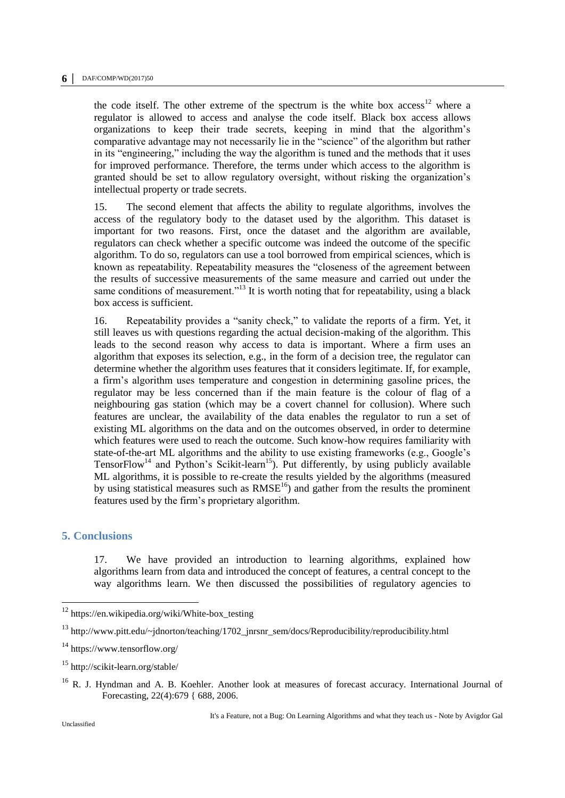the code itself. The other extreme of the spectrum is the white box  $access^{12}$  where a regulator is allowed to access and analyse the code itself. Black box access allows organizations to keep their trade secrets, keeping in mind that the algorithm's comparative advantage may not necessarily lie in the "science" of the algorithm but rather in its "engineering," including the way the algorithm is tuned and the methods that it uses for improved performance. Therefore, the terms under which access to the algorithm is granted should be set to allow regulatory oversight, without risking the organization's intellectual property or trade secrets.

15. The second element that affects the ability to regulate algorithms, involves the access of the regulatory body to the dataset used by the algorithm. This dataset is important for two reasons. First, once the dataset and the algorithm are available, regulators can check whether a specific outcome was indeed the outcome of the specific algorithm. To do so, regulators can use a tool borrowed from empirical sciences, which is known as repeatability. Repeatability measures the "closeness of the agreement between the results of successive measurements of the same measure and carried out under the same conditions of measurement."<sup>13</sup> It is worth noting that for repeatability, using a black box access is sufficient.

16. Repeatability provides a "sanity check," to validate the reports of a firm. Yet, it still leaves us with questions regarding the actual decision-making of the algorithm. This leads to the second reason why access to data is important. Where a firm uses an algorithm that exposes its selection, e.g., in the form of a decision tree, the regulator can determine whether the algorithm uses features that it considers legitimate. If, for example, a firm's algorithm uses temperature and congestion in determining gasoline prices, the regulator may be less concerned than if the main feature is the colour of flag of a neighbouring gas station (which may be a covert channel for collusion). Where such features are unclear, the availability of the data enables the regulator to run a set of existing ML algorithms on the data and on the outcomes observed, in order to determine which features were used to reach the outcome. Such know-how requires familiarity with state-of-the-art ML algorithms and the ability to use existing frameworks (e.g., Google's TensorFlow<sup>14</sup> and Python's Scikit-learn<sup>15</sup>). Put differently, by using publicly available ML algorithms, it is possible to re-create the results yielded by the algorithms (measured by using statistical measures such as  $RMSE<sup>16</sup>$  and gather from the results the prominent features used by the firm's proprietary algorithm.

# **5. Conclusions**

17. We have provided an introduction to learning algorithms, explained how algorithms learn from data and introduced the concept of features, a central concept to the way algorithms learn. We then discussed the possibilities of regulatory agencies to

<sup>&</sup>lt;sup>12</sup> https://en.wikipedia.org/wiki/White-box\_testing

<sup>&</sup>lt;sup>13</sup> http://www.pitt.edu/~jdnorton/teaching/1702 jnrsnr\_sem/docs/Reproducibility/reproducibility.html

<sup>14</sup> https://www.tensorflow.org/

<sup>15</sup> http://scikit-learn.org/stable/

<sup>&</sup>lt;sup>16</sup> R. J. Hyndman and A. B. Koehler. Another look at measures of forecast accuracy. International Journal of Forecasting, 22(4):679 { 688, 2006.